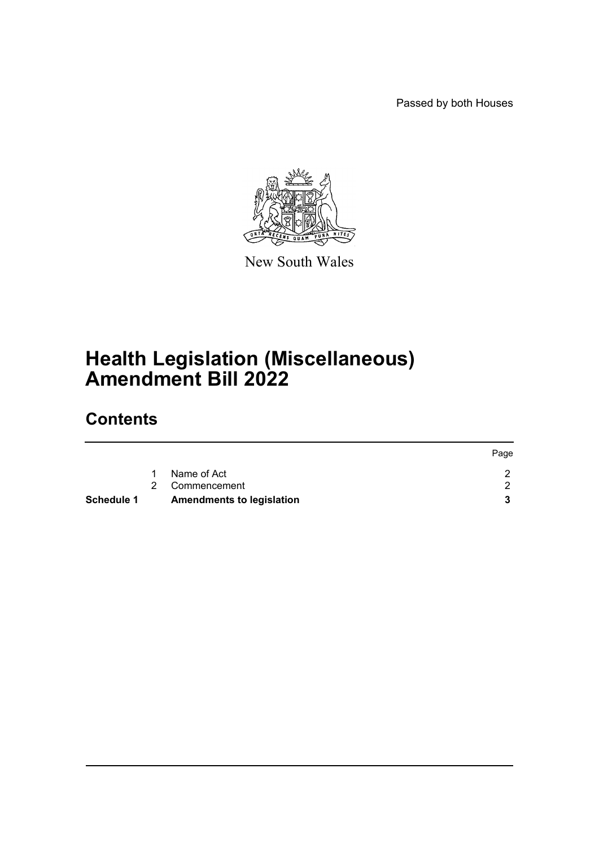Passed by both Houses

Page



New South Wales

# **Health Legislation (Miscellaneous) Amendment Bill 2022**

## **Contents**

| Schedule 1 | <b>Amendments to legislation</b> |             |
|------------|----------------------------------|-------------|
|            | 2 Commencement                   |             |
|            | Name of Act                      |             |
|            |                                  | <b>Page</b> |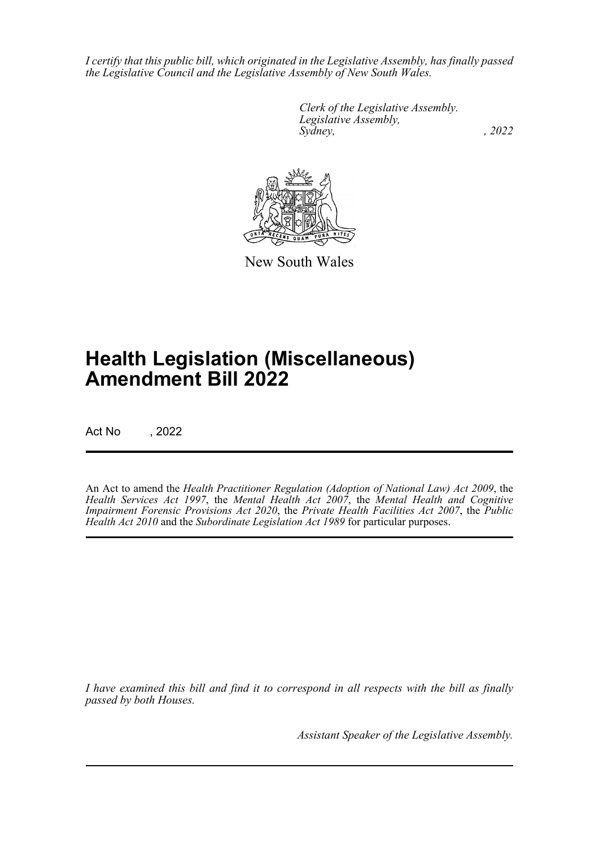*I certify that this public bill, which originated in the Legislative Assembly, has finally passed the Legislative Council and the Legislative Assembly of New South Wales.*

> *Clerk of the Legislative Assembly. Legislative Assembly, Sydney, , 2022*



New South Wales

## **Health Legislation (Miscellaneous) Amendment Bill 2022**

Act No , 2022

An Act to amend the *Health Practitioner Regulation (Adoption of National Law) Act 2009*, the *Health Services Act 1997*, the *Mental Health Act 2007*, the *Mental Health and Cognitive Impairment Forensic Provisions Act 2020*, the *Private Health Facilities Act 2007*, the *Public Health Act 2010* and the *Subordinate Legislation Act 1989* for particular purposes.

*I have examined this bill and find it to correspond in all respects with the bill as finally passed by both Houses.*

*Assistant Speaker of the Legislative Assembly.*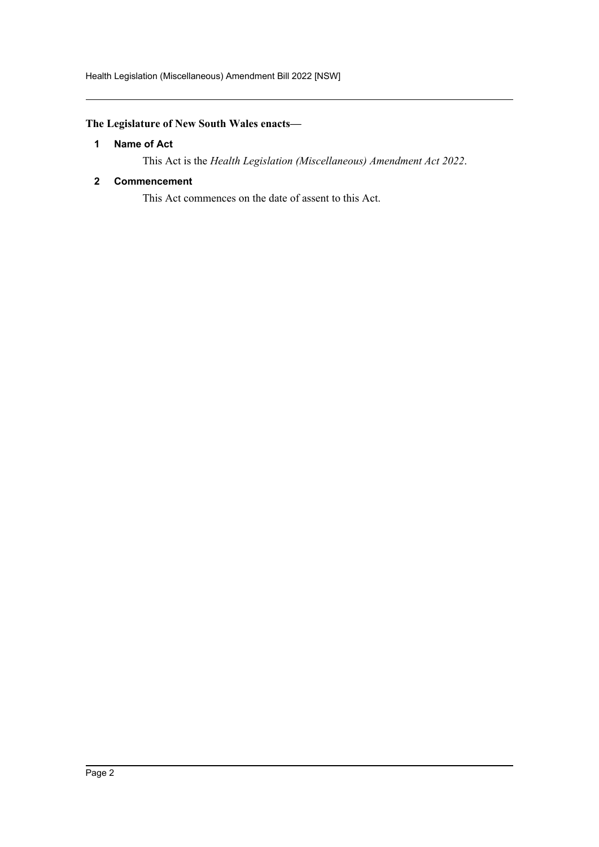Health Legislation (Miscellaneous) Amendment Bill 2022 [NSW]

## <span id="page-2-0"></span>**The Legislature of New South Wales enacts—**

### **1 Name of Act**

This Act is the *Health Legislation (Miscellaneous) Amendment Act 2022*.

### <span id="page-2-1"></span>**2 Commencement**

This Act commences on the date of assent to this Act.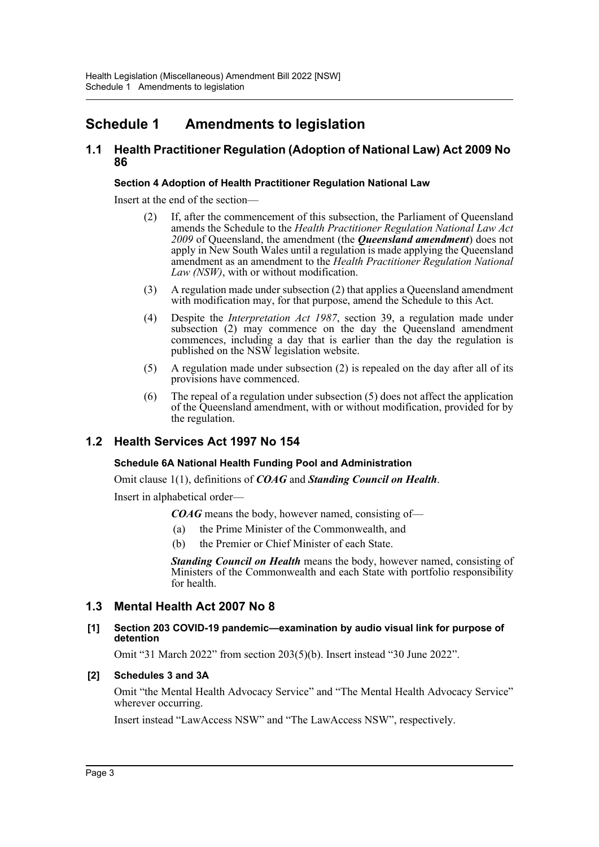## <span id="page-3-0"></span>**Schedule 1 Amendments to legislation**

## **1.1 Health Practitioner Regulation (Adoption of National Law) Act 2009 No 86**

#### **Section 4 Adoption of Health Practitioner Regulation National Law**

Insert at the end of the section—

- (2) If, after the commencement of this subsection, the Parliament of Queensland amends the Schedule to the *Health Practitioner Regulation National Law Act 2009* of Queensland, the amendment (the *Queensland amendment*) does not apply in New South Wales until a regulation is made applying the Queensland amendment as an amendment to the *Health Practitioner Regulation National Law (NSW)*, with or without modification.
- (3) A regulation made under subsection (2) that applies a Queensland amendment with modification may, for that purpose, amend the Schedule to this Act.
- (4) Despite the *Interpretation Act 1987*, section 39, a regulation made under subsection (2) may commence on the day the Queensland amendment commences, including a day that is earlier than the day the regulation is published on the NSW legislation website.
- (5) A regulation made under subsection (2) is repealed on the day after all of its provisions have commenced.
- (6) The repeal of a regulation under subsection (5) does not affect the application of the Queensland amendment, with or without modification, provided for by the regulation.

## **1.2 Health Services Act 1997 No 154**

#### **Schedule 6A National Health Funding Pool and Administration**

Omit clause 1(1), definitions of *COAG* and *Standing Council on Health*.

Insert in alphabetical order—

*COAG* means the body, however named, consisting of—

- (a) the Prime Minister of the Commonwealth, and
- (b) the Premier or Chief Minister of each State.

*Standing Council on Health* means the body, however named, consisting of Ministers of the Commonwealth and each State with portfolio responsibility for health.

## **1.3 Mental Health Act 2007 No 8**

#### **[1] Section 203 COVID-19 pandemic—examination by audio visual link for purpose of detention**

Omit "31 March 2022" from section 203(5)(b). Insert instead "30 June 2022".

#### **[2] Schedules 3 and 3A**

Omit "the Mental Health Advocacy Service" and "The Mental Health Advocacy Service" wherever occurring.

Insert instead "LawAccess NSW" and "The LawAccess NSW", respectively.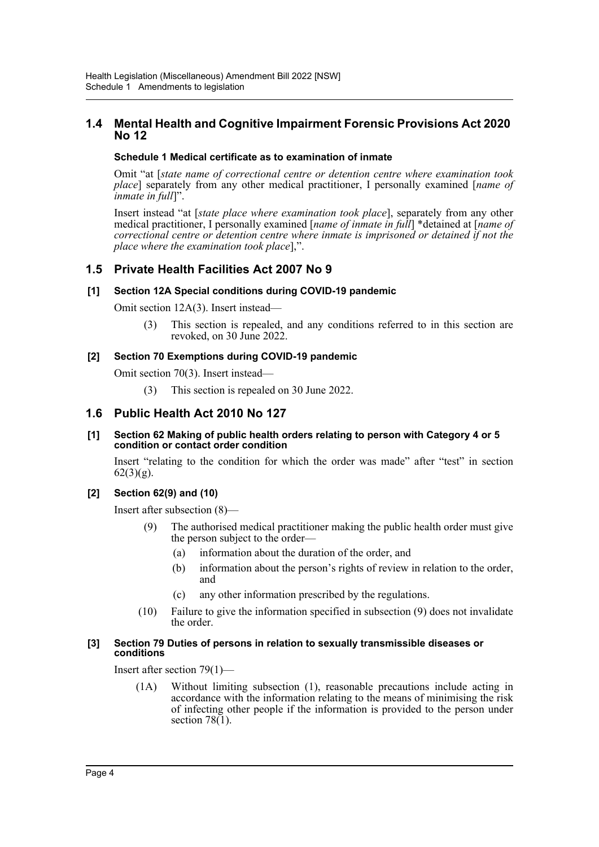## **1.4 Mental Health and Cognitive Impairment Forensic Provisions Act 2020 No 12**

### **Schedule 1 Medical certificate as to examination of inmate**

Omit "at [*state name of correctional centre or detention centre where examination took place*] separately from any other medical practitioner, I personally examined [*name of inmate in full*]".

Insert instead "at [*state place where examination took place*], separately from any other medical practitioner, I personally examined [*name of inmate in full*] \*detained at [*name of correctional centre or detention centre where inmate is imprisoned or detained if not the place where the examination took place*],".

## **1.5 Private Health Facilities Act 2007 No 9**

### **[1] Section 12A Special conditions during COVID-19 pandemic**

Omit section 12A(3). Insert instead—

(3) This section is repealed, and any conditions referred to in this section are revoked, on 30 June 2022.

### **[2] Section 70 Exemptions during COVID-19 pandemic**

Omit section 70(3). Insert instead—

(3) This section is repealed on 30 June 2022.

## **1.6 Public Health Act 2010 No 127**

#### **[1] Section 62 Making of public health orders relating to person with Category 4 or 5 condition or contact order condition**

Insert "relating to the condition for which the order was made" after "test" in section  $62(3)(g)$ .

## **[2] Section 62(9) and (10)**

Insert after subsection (8)—

- (9) The authorised medical practitioner making the public health order must give the person subject to the order—
	- (a) information about the duration of the order, and
	- (b) information about the person's rights of review in relation to the order, and
	- (c) any other information prescribed by the regulations.
- (10) Failure to give the information specified in subsection (9) does not invalidate the order.

#### **[3] Section 79 Duties of persons in relation to sexually transmissible diseases or conditions**

Insert after section 79(1)—

(1A) Without limiting subsection (1), reasonable precautions include acting in accordance with the information relating to the means of minimising the risk of infecting other people if the information is provided to the person under section  $78(1)$ .